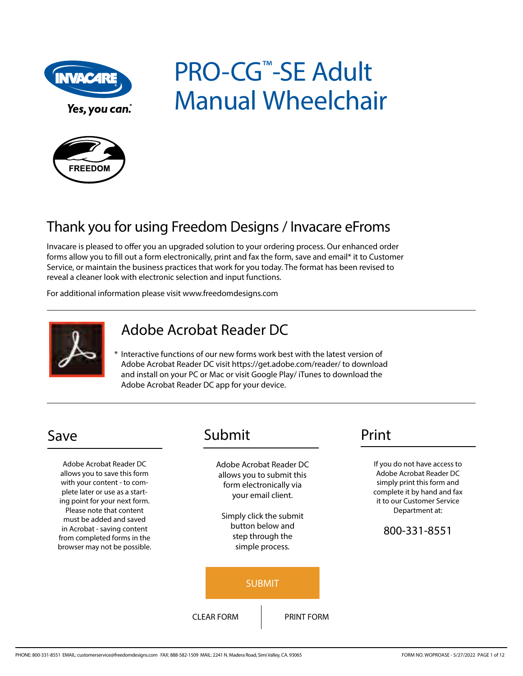

Yes, you can.

# PRO-CG™-SE Adult Manual Wheelchair



# Thank you for using Freedom Designs / Invacare eFroms

Invacare is pleased to offer you an upgraded solution to your ordering process. Our enhanced order forms allow you to fill out a form electronically, print and fax the form, save and email\* it to Customer Service, or maintain the business practices that work for you today. The format has been revised to reveal a cleaner look with electronic selection and input functions.

For additional information please visit www.freedomdesigns.com



# Adobe Acrobat Reader DC

\* Interactive functions of our new forms work best with the latest version of Adobe Acrobat Reader DC visit https://get.adobe.com/reader/ to download and install on your PC or Mac or visit Google Play/ iTunes to download the Adobe Acrobat Reader DC app for your device.

Adobe Acrobat Reader DC allows you to save this form with your content - to complete later or use as a starting point for your next form. Please note that content must be added and saved in Acrobat - saving content from completed forms in the browser may not be possible.

# Save Submit Print

Adobe Acrobat Reader DC allows you to submit this form electronically via your email client.

Simply click the submit button below and step through the simple process.



If you do not have access to Adobe Acrobat Reader DC simply print this form and complete it by hand and fax it to our Customer Service Department at:

#### 800-331-8551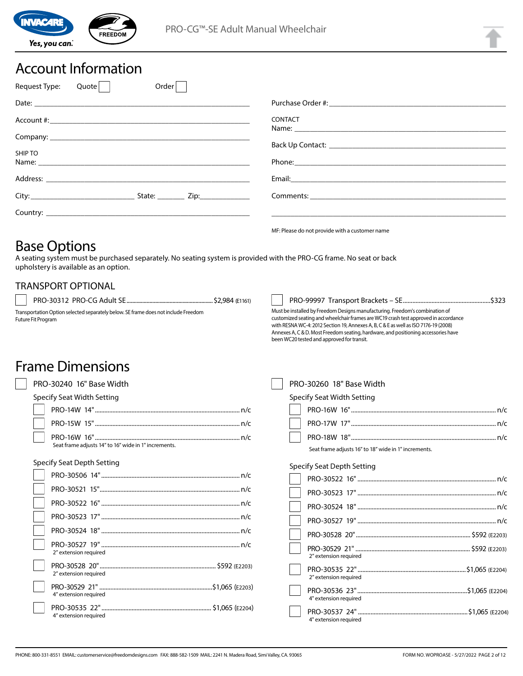

# Account Information

| Request Type: | Quote | Order                                                                                                                                                                                                                          |                                                                                                                                                                                                                                                                                                                                                                                                                         |
|---------------|-------|--------------------------------------------------------------------------------------------------------------------------------------------------------------------------------------------------------------------------------|-------------------------------------------------------------------------------------------------------------------------------------------------------------------------------------------------------------------------------------------------------------------------------------------------------------------------------------------------------------------------------------------------------------------------|
|               |       |                                                                                                                                                                                                                                |                                                                                                                                                                                                                                                                                                                                                                                                                         |
|               |       |                                                                                                                                                                                                                                | <b>CONTACT</b>                                                                                                                                                                                                                                                                                                                                                                                                          |
|               |       |                                                                                                                                                                                                                                |                                                                                                                                                                                                                                                                                                                                                                                                                         |
| SHIP TO       |       |                                                                                                                                                                                                                                | Phone: <u>and the contract of the contract of the contract of the contract of the contract of the contract of the contract of the contract of the contract of the contract of the contract of the contract of the contract of th</u>                                                                                                                                                                                    |
|               |       | Address: Address: Address: Address: Address: Address: Address: Address: Address: Address: Address: Address: Address: Address: Address: Address: Address: Address: Address: Address: Address: Address: Address: Address: Addres | Email: Email: All and the state of the state of the state of the state of the state of the state of the state of the state of the state of the state of the state of the state of the state of the state of the state of the s                                                                                                                                                                                          |
|               |       | State: _________ Zip:_______________                                                                                                                                                                                           |                                                                                                                                                                                                                                                                                                                                                                                                                         |
|               |       |                                                                                                                                                                                                                                |                                                                                                                                                                                                                                                                                                                                                                                                                         |
|               |       |                                                                                                                                                                                                                                | $\mathbf{A} \mathbf{A} = \mathbf{A} \mathbf{A} \mathbf{A} + \mathbf{A} \mathbf{A} + \mathbf{A} \mathbf{A} + \mathbf{A} \mathbf{A} + \mathbf{A} \mathbf{A} + \mathbf{A} \mathbf{A} + \mathbf{A} \mathbf{A} + \mathbf{A} \mathbf{A} + \mathbf{A} \mathbf{A} + \mathbf{A} \mathbf{A} + \mathbf{A} \mathbf{A} + \mathbf{A} \mathbf{A} + \mathbf{A} \mathbf{A} + \mathbf{A} \mathbf{A} + \mathbf{A} \mathbf{A} + \mathbf{A}$ |

# Base Options

A seating system must be purchased separately. No seating system is provided with the PRO-CG frame. No seat or back upholstery is available as an option.

## TRANSPORT OPTIONAL

PRO-30312 PRO-CG Adult SE ............................................................\$2,984 (E1161)

Transportation Option selected separately below. SE frame does not include Freedom Future Fit Program

#### MF: Please do not provide with a customer name

been WC20 tested and approved for transit.

Must be installed by Freedom Designs manufacturing. Freedom's combination of customized seating and wheelchair frames are WC19 crash test approved in accordance with RESNA WC-4: 2012 Section 19, Annexes A, B, C & E as well as ISO 7176-19 (2008) Annexes A, C & D. Most Freedom seating, hardware, and positioning accessories have

| PRO-30240 16" Base Width   |
|----------------------------|
| Specify Seat Width Setting |

Frame Dimensions

| $\mu$ , $\mu$ , $\mu$ , $\mu$ , $\mu$ , $\mu$ , $\mu$ , $\mu$ , $\mu$ , $\mu$ , $\mu$ |  |
|---------------------------------------------------------------------------------------|--|
|                                                                                       |  |
|                                                                                       |  |
| Seat frame adjusts 14" to 16" wide in 1" increments.                                  |  |

#### Specify Seat Depth Setting

| 2" extension required                     |
|-------------------------------------------|
| 2" extension required                     |
| .\$1,065 (E2203)<br>4" extension required |
| 4" extension required                     |

PRO-30260 18" Base Width Specify Seat Width Setting PRO-16W 16"........................................................................................... n/c PRO-17W 17"........................................................................................... n/c PRO-18W 18"........................................................................................... n/c Seat frame adjusts 16" to 18" wide in 1" increments. Specify Seat Depth Setting PRO-30522 16"....................................................................................... n/c

PRO-99997 Transport Brackets – SE .......................................................\$323

| 2" extension required | \$592 (E2203)    |
|-----------------------|------------------|
| 2" extension required | .\$1,065 (E2204) |
| 4" extension required | "\$1,065 (E2204) |
| 4" extension required |                  |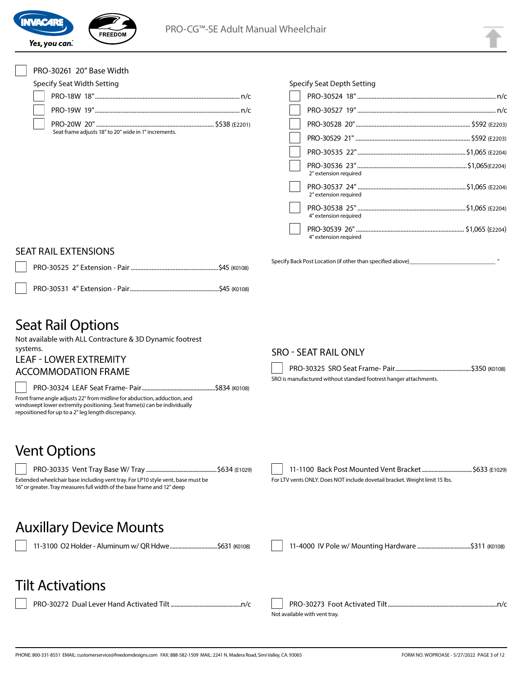

#### PRO-30261 20" Base Width

Specify Seat Width Setting

|  | Seat frame adjusts 18" to 20" wide in 1" increments. |  |
|--|------------------------------------------------------|--|

|  | Specify Seat Depth Setting |
|--|----------------------------|
|  |                            |

| 2" extension required |  |
|-----------------------|--|
| 2" extension required |  |
| 4" extension required |  |
| 4" extension required |  |
|                       |  |

#### SEAT RAIL EXTENSIONS

# Seat Rail Options

Not available with ALL Contracture & 3D Dynamic footrest

systems.

#### LEAF - LOWER EXTREMITY ACCOMMODATION FRAME

PRO-30324 LEAF Seat Frame- Pair ...................................................\$834 (K0108) Front frame angle adjusts 22° from midline for abduction, adduction, and windswept lower extremity positioning. Seat frame(s) can be individually repositioned for up to a 2" leg length discrepancy.

#### SRO - SEAT RAIL ONLY

Specify Back Post Location (if other than specified above)

PRO-30325 SRO Seat Frame- Pair.....................................................\$350 (K0108) SRO is manufactured without standard footrest hanger attachments.

# Vent Options



| 11-1100 Back Post Mounted Vent Bracket \$633 (E1029)                        |  |
|-----------------------------------------------------------------------------|--|
| For LTV vents ONLY. Does NOT include dovetail bracket. Weight limit 15 lbs. |  |

# Auxillary Device Mounts

11-3100 O2 Holder - Aluminum w/ QR Hdwe.................................\$631 (K0108) 11-4000 IV Pole w/ Mounting Hardware .....................................\$311 (K0108)

 $\overline{a}$ 

# Tilt Activations

PRO-30272 Dual Lever Hand Activated Tilt.................................................n/c PRO-30273 Foot Activated Tilt............................................................................n/c Not available with vent tray.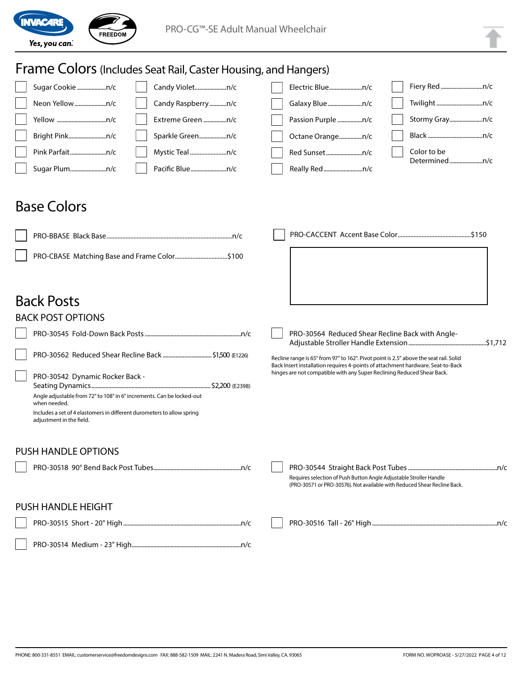

#### Frame Colors (Includes Seat Rail, Caster Housing, and Hangers) Sugar Cookie ....................n/c Neon Yellow......................n/c Yellow ..................................n/c Bright Pink..........................n/c Pink Parfait.........................n/c Sugar Plum.........................n/c Candy Violet......................n/c Candy Raspberry............n/c Extreme Green ................n/c Sparkle Green...................n/c Mystic Teal .......................n/c Pacific Blue.........................n/c Electric Blue.......................n/c Galaxy Blue........................n/c Passion Purple .................n/c Octane Orange................n/c Red Sunset.........................n/c Really Red ...........................n/c Fiery Red.............................n/c Twilight................................n/c Stormy Gray.......................n/c Black ......................................n/c Color to be Determined.......................n/c Back Posts BACK POST OPTIONS PRO-30545 Fold-Down Back Posts...................................................................n/c PRO-30562 Reduced Shear Recline Back ...................................\$1,500 (E1226) PRO-30542 Dynamic Rocker Back - Seating Dynamics...................................................................................\$2,200 (E2398) Angle adjustable from 72° to 108° in 6° increments. Can be locked-out when needed. Includes a set of 4 elastomers in different durometers to allow spring adjustment in the field. PRO-30564 Reduced Shear Recline Back with Angle-Adjustable Stroller Handle Extension......................................................\$1,712 Recline range is 65° from 97° to 162°. Pivot point is 2.5" above the seat rail. Solid Back Insert installation requires 4-points of attachment hardware. Seat-to-Back hinges are not compatible with any Super Reclining Reduced Shear Back. PUSH HANDLE OPTIONS PRO-30518 90° Bend Back Post Tubes.............................................................n/c PRO-30544 Straight Back Post Tubes..............................................................n/c Requires selection of Push Button Angle Adjustable Stroller Handle (PRO-30571 or PRO-30576). Not available with Reduced Shear Recline Back. PUSH HANDLE HEIGHT PRO-30515 Short - 20" High..................................................................................n/c PRO-30514 Medium - 23" High............................................................................n/c PRO-30516 Tall - 26" High.......................................................................................n/c Base Colors PRO-BBASE Black Base ...............................................................................n/c PRO-CBASE Matching Base and Frame Color.................................\$100 PRO-CACCENT Accent Base Color ..............................................\$150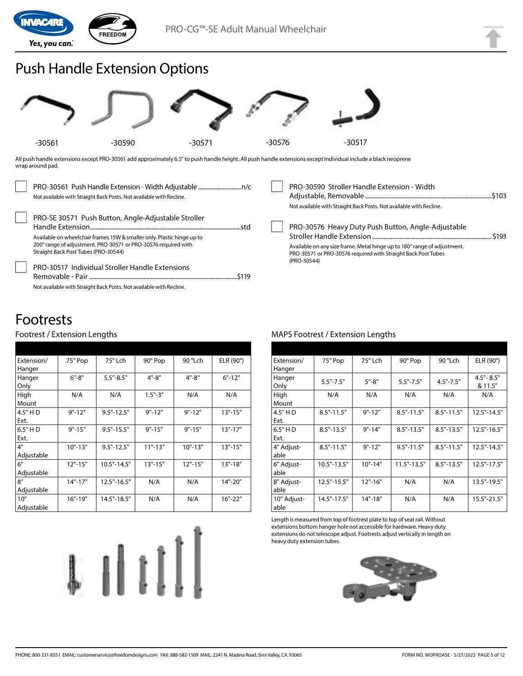

# Push Handle Extension Options



All push handle extensions except PRO-30561 add approximately 6.5" to push handle height. All push handle extensions except Individual include a black neoprene wrap around pad.

| Not available with Straight Back Posts. Not available with Recline.                                                                                                                                                                     | PRO-30590 Stroller Handle Extension - Width<br>Not available with Straight Back Posts. Not available with Recline.                                                                                             |         |
|-----------------------------------------------------------------------------------------------------------------------------------------------------------------------------------------------------------------------------------------|----------------------------------------------------------------------------------------------------------------------------------------------------------------------------------------------------------------|---------|
| PRO-SE 30571 Push Button, Angle-Adjustable Stroller<br>Available on wheelchair frames 15W & smaller only. Plastic hinge up to<br>200° range of adjustment. PRO-30571 or PRO-30576 required with<br>Straight Back Post Tubes (PRO-30544) | PRO-30576 Heavy Duty Push Button, Angle-Adjustable<br>Available on any size frame. Metal hinge up to 180° range of adjustment.<br>PRO-30571 or PRO-30576 required with Straight Back Post Tubes<br>(PRO-30544) | . \$193 |
| <b>PRO-30517 Individual Stroller Handle Extensions</b><br>Not available with Straight Back Posts. Not available with Recline.                                                                                                           |                                                                                                                                                                                                                |         |

# Footrests

#### Footrest / Extension Lengths

| Extension/ | 75° Pop     | 75° Lch         | 90° Pop     | 90 °Lch     | ELR (90°)   |
|------------|-------------|-----------------|-------------|-------------|-------------|
| Hanger     |             |                 |             |             |             |
| Hanger     | $6" - 8"$   | $5.5" - 8.5"$   | $4" - 8"$   | $4" - 8"$   | $6" - 12"$  |
| Only       |             |                 |             |             |             |
| High       | N/A         | N/A             | $1.5 - 3$   | N/A         | N/A         |
| Mount      |             |                 |             |             |             |
| 4.5" H D   | $9" - 12"$  | $9.5" - 12.5"$  | $9" - 12"$  | $9" - 12"$  | $13" - 15"$ |
| Ext.       |             |                 |             |             |             |
| $6.5"$ HD  | $9" - 15"$  | $9.5" - 15.5"$  | $9" - 15"$  | $9" - 15"$  | $13" - 17"$ |
| Ext.       |             |                 |             |             |             |
| 4"         | $10" - 13"$ | $9.5" - 12.5"$  | $11" - 13"$ | $10" - 13"$ | $13" - 15"$ |
| Adjustable |             |                 |             |             |             |
| 6"         | $12" - 15"$ | $10.5" - 14.5"$ | $13" - 15"$ | $12" - 15"$ | $13" - 18"$ |
| Adjustable |             |                 |             |             |             |
| 8"         | $14" - 17"$ | $12.5" - 16.5"$ | N/A         | N/A         | 14"-20"     |
| Adjustable |             |                 |             |             |             |
| 10"        | $16" - 19"$ | 14.5"-18.5"     | N/A         | N/A         | 16"-22"     |
| Adjustable |             |                 |             |             |             |



#### MAPS Footrest / Extension Lengths

| Extension/  | 75° Pop        | 75° Lch     | 90° Pop         | 90 °Lch        | ELR $(90^\circ)$ |
|-------------|----------------|-------------|-----------------|----------------|------------------|
| Hanger      |                |             |                 |                |                  |
| Hanger      | $5.5" - 7.5"$  | $5" - 8"$   | $5.5" - 7.5"$   | $4.5" - 7.5"$  | $4.5" - 8.5"$    |
| Only        |                |             |                 |                | & 11.5"          |
| High        | N/A            | N/A         | N/A             | N/A            | N/A              |
| Mount       |                |             |                 |                |                  |
| 4.5" H D    | $8.5" - 11.5"$ | $9" - 12"$  | $8.5" - 11.5"$  | $8.5" - 11.5"$ | $12.5" - 14.5"$  |
| Ext.        |                |             |                 |                |                  |
| 6.5" H D    | $8.5" - 13.5"$ | $9" - 14"$  | $8.5" - 13.5"$  | $8.5" - 13.5"$ | $12.5" - 16.5"$  |
| Ext.        |                |             |                 |                |                  |
| 4" Adjust-  | $8.5" - 11.5"$ | $9" - 12"$  | $9.5" - 11.5"$  | $8.5" - 11.5"$ | 12.5"-14.5"      |
| able        |                |             |                 |                |                  |
| 6" Adjust-  | 10.5"-13.5"    | $10" - 14"$ | $11.5" - 13.5"$ | $8.5" - 13.5"$ | 12.5"-17.5"      |
| able        |                |             |                 |                |                  |
| 8" Adjust-  | 12.5"-15.5"    | $12" - 16"$ | N/A             | N/A            | 13.5"-19.5"      |
| able        |                |             |                 |                |                  |
| 10" Adjust- | 14.5"-17.5"    | $14" - 18"$ | N/A             | N/A            | $15.5" - 21.5"$  |
| able        |                |             |                 |                |                  |

Length is measured from top of footrest plate to top of seat rail. Without extensions bottom hanger hole not accessible for hardware. Heavy duty extensions do not telescope adjust. Footrests adjust vertically in length on heavy duty extension tubes.

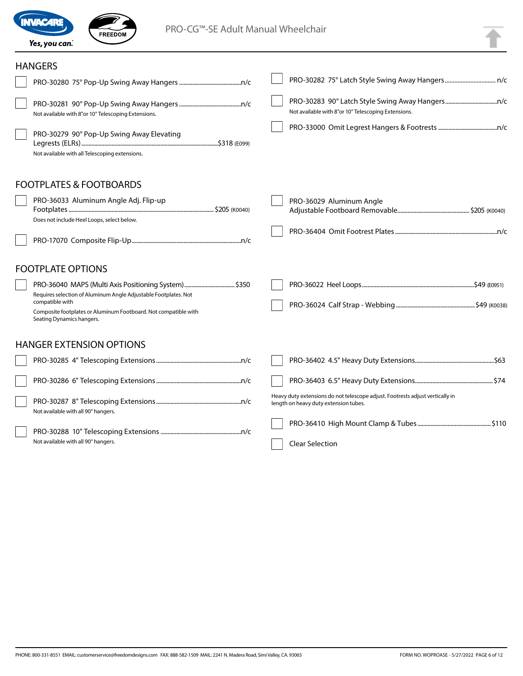

Not available with all 90° hangers.

FREEDOM

## ANCEDC

| HANGERS                                                                                                                                                                            |                                                                                                                        |  |
|------------------------------------------------------------------------------------------------------------------------------------------------------------------------------------|------------------------------------------------------------------------------------------------------------------------|--|
|                                                                                                                                                                                    |                                                                                                                        |  |
| Not available with 8"or 10" Telescoping Extensions.                                                                                                                                | Not available with 8"or 10" Telescoping Extensions.                                                                    |  |
| PRO-30279 90° Pop-Up Swing Away Elevating<br>Not available with all Telescoping extensions.                                                                                        |                                                                                                                        |  |
| <b>FOOTPLATES &amp; FOOTBOARDS</b>                                                                                                                                                 |                                                                                                                        |  |
| PRO-36033 Aluminum Angle Adj. Flip-up<br>Does not include Heel Loops, select below.                                                                                                | PRO-36029 Aluminum Angle                                                                                               |  |
|                                                                                                                                                                                    |                                                                                                                        |  |
| <b>FOOTPLATE OPTIONS</b>                                                                                                                                                           |                                                                                                                        |  |
| Requires selection of Aluminum Angle Adjustable Footplates. Not<br>compatible with<br>Composite footplates or Aluminum Footboard. Not compatible with<br>Seating Dynamics hangers. |                                                                                                                        |  |
| <b>HANGER EXTENSION OPTIONS</b>                                                                                                                                                    |                                                                                                                        |  |
|                                                                                                                                                                                    |                                                                                                                        |  |
|                                                                                                                                                                                    |                                                                                                                        |  |
| Not available with all 90° hangers.                                                                                                                                                | Heavy duty extensions do not telescope adjust. Footrests adjust vertically in<br>length on heavy duty extension tubes. |  |
|                                                                                                                                                                                    |                                                                                                                        |  |

Clear Selection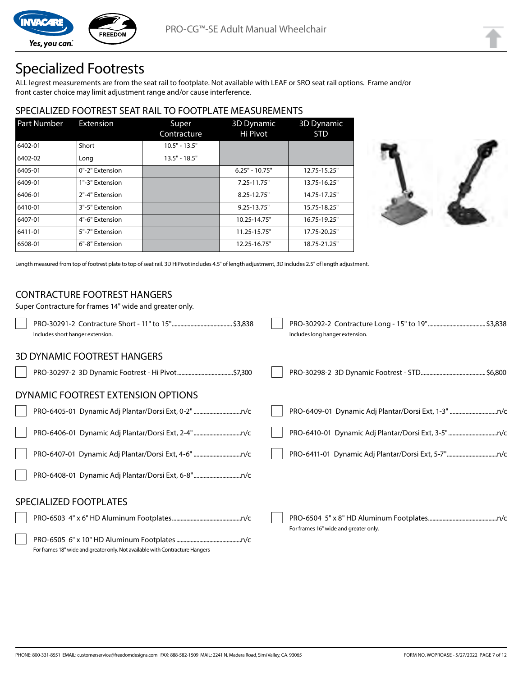

Yes, you can.

# Specialized Footrests

**FREEDOM** 

ALL legrest measurements are from the seat rail to footplate. Not available with LEAF or SRO seat rail options. Frame and/or front caster choice may limit adjustment range and/or cause interference.

## SPECIALIZED FOOTREST SEAT RAIL TO FOOTPLATE MEASUREMENTS

| <b>Part Number</b> | Extension       | Super<br>Contracture | 3D Dynamic<br>Hi Pivot | <b>3D Dynamic</b><br><b>STD</b> |
|--------------------|-----------------|----------------------|------------------------|---------------------------------|
| 6402-01            | Short           | $10.5" - 13.5"$      |                        |                                 |
| 6402-02            | Long            | $13.5" - 18.5"$      |                        |                                 |
| 6405-01            | 0"-2" Extension |                      | $6.25" - 10.75"$       | 12.75-15.25"                    |
| 6409-01            | 1"-3" Extension |                      | 7.25-11.75"            | 13.75-16.25"                    |
| 6406-01            | 2"-4" Extension |                      | 8.25-12.75"            | 14.75-17.25"                    |
| 6410-01            | 3"-5" Extension |                      | $9.25 - 13.75"$        | 15.75-18.25"                    |
| 6407-01            | 4"-6" Extension |                      | 10.25-14.75"           | 16.75-19.25"                    |
| 6411-01            | 5"-7" Extension |                      | 11.25-15.75"           | 17.75-20.25"                    |
| 6508-01            | 6"-8" Extension |                      | 12.25-16.75"           | 18.75-21.25"                    |



Length measured from top of footrest plate to top of seat rail. 3D HiPivot includes 4.5" of length adjustment, 3D includes 2.5" of length adjustment.

#### CONTRACTURE FOOTREST HANGERS

| Super Contracture for frames 14" wide and greater only.                      |                                       |
|------------------------------------------------------------------------------|---------------------------------------|
| Includes short hanger extension.                                             | Includes long hanger extension.       |
| <b>3D DYNAMIC FOOTREST HANGERS</b>                                           |                                       |
|                                                                              |                                       |
| DYNAMIC FOOTREST EXTENSION OPTIONS                                           |                                       |
|                                                                              |                                       |
|                                                                              |                                       |
|                                                                              |                                       |
|                                                                              |                                       |
| SPECIALIZED FOOTPLATES                                                       |                                       |
|                                                                              | For frames 16" wide and greater only. |
| For frames 18" wide and greater only. Not available with Contracture Hangers |                                       |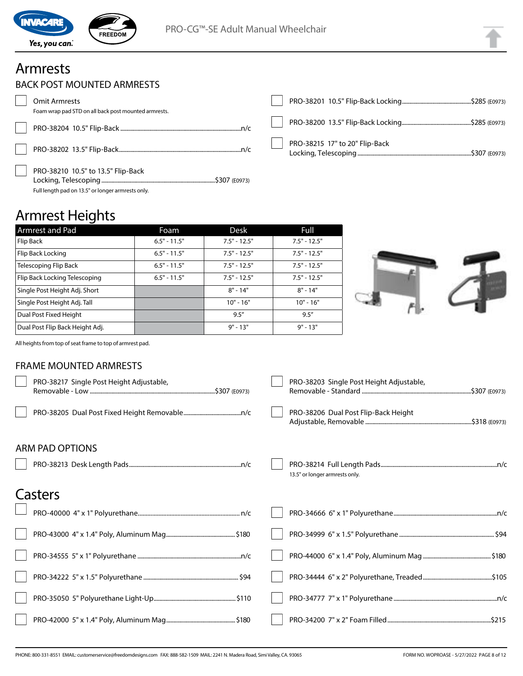

# Armrests

 $\sqrt{2}$ 

|  | BACK POST MOUNTED ARMRESTS |  |
|--|----------------------------|--|
|--|----------------------------|--|

| Omit Armrests                                                                           |                                |
|-----------------------------------------------------------------------------------------|--------------------------------|
| Foam wrap pad STD on all back post mounted armrests.                                    |                                |
|                                                                                         | PRO-38215 17" to 20" Flip-Back |
| PRO-38210 10.5" to 13.5" Flip-Back<br>Full length pad on 13.5" or longer armrests only. |                                |

# Armrest Heights

| Armrest and Pad                 | Foam           | Desk           | Full           |
|---------------------------------|----------------|----------------|----------------|
| Flip Back                       | $6.5" - 11.5"$ | $7.5" - 12.5"$ | $7.5" - 12.5"$ |
| Flip Back Locking               | $6.5" - 11.5"$ | $7.5" - 12.5"$ | $7.5" - 12.5"$ |
| Telescoping Flip Back           | $6.5" - 11.5"$ | $7.5" - 12.5"$ | $7.5" - 12.5"$ |
| Flip Back Locking Telescoping   | $6.5" - 11.5"$ | $7.5" - 12.5"$ | $7.5" - 12.5"$ |
| Single Post Height Adj. Short   |                | $8" - 14"$     | $8" - 14"$     |
| Single Post Height Adj. Tall    |                | $10" - 16"$    | $10" - 16"$    |
| Dual Post Fixed Height          |                | 9.5''          | 9.5''          |
| Dual Post Flip Back Height Adj. |                | $9" - 13"$     | $9" - 13"$     |



All heights from top of seat frame to top of armrest pad.

#### FRAME MOUNTED ARMRESTS

| PRO-38217 Single Post Height Adjustable, | PRO-38203 Single Post Height Adjustable, |
|------------------------------------------|------------------------------------------|
|                                          | PRO-38206 Dual Post Flip-Back Height     |
| ARM PAD OPTIONS                          |                                          |
|                                          | 13.5" or longer armrests only.           |
| Casters                                  |                                          |
|                                          |                                          |
|                                          |                                          |
|                                          |                                          |
|                                          |                                          |
|                                          |                                          |
|                                          |                                          |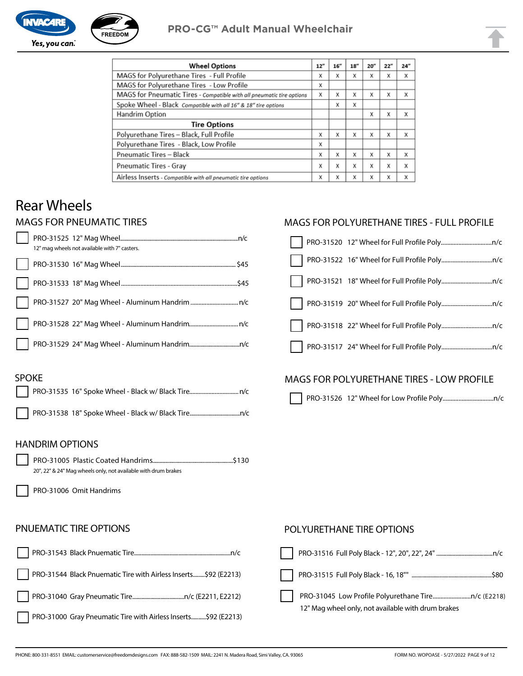



| <b>Wheel Options</b>                                                  | 12" | 16'' | 18" | 20'' | 22" | 24" |
|-----------------------------------------------------------------------|-----|------|-----|------|-----|-----|
| MAGS for Polyurethane Tires - Full Profile                            | x   | x    | x   | х    | x   | x   |
| MAGS for Polyurethane Tires - Low Profile                             | x   |      |     |      |     |     |
| MAGS for Pneumatic Tires - Compatible with all pneumatic tire options | x   | X    | x   | x    | X   | x   |
| Spoke Wheel - Black Compatible with all 16" & 18" tire options        |     | X    | X   |      |     |     |
| Handrim Option                                                        |     |      |     | x    | x   | X   |
| <b>Tire Options</b>                                                   |     |      |     |      |     |     |
| Polyurethane Tires - Black, Full Profile                              | x   | X    | X   | X    | X   | X   |
| Polyurethane Tires - Black, Low Profile                               | x   |      |     |      |     |     |
| <b>Pneumatic Tires - Black</b>                                        | x   | X    | X   | x    | X   | X   |
| <b>Pneumatic Tires - Gray</b>                                         | x   | X    | x   | X    | X   | X   |
| Airless Inserts - Compatible with all pneumatic tire options          | x   | X    | X   | X    | X   | x   |

# Rear Wheels

#### MAGS FOR PNEUMATIC TIRES

|  | 12" mag wheels not available with 7" casters. |
|--|-----------------------------------------------|
|  |                                               |
|  |                                               |
|  |                                               |
|  |                                               |
|  |                                               |

#### MAGS FOR POLYURETHANE TIRES - FULL PROFILE

| $\mathbf{L}$ |  |
|--------------|--|
|              |  |
|              |  |
|              |  |
|              |  |
|              |  |

#### SPOKE

## MAGS FOR POLYURETHANE TIRES - LOW PROFILE

PRO-31526 12" Wheel for Low Profile Poly................................n/c

#### HANDRIM OPTIONS

PRO-31005 Plastic Coated Handrims........................................................\$130 20", 22" & 24" Mag wheels only, not available with drum brakes

PRO-31006 Omit Handrims

#### PNUEMATIC TIRE OPTIONS

|                                                                  | PRO-31516 Full P |
|------------------------------------------------------------------|------------------|
| PRO-31544 Black Pnuematic Tire with Airless Inserts \$92 (E2213) | PRO-31515 Full P |
|                                                                  | PRO-31045 Low    |
| PRO-31000 Gray Pneumatic Tire with Airless Inserts\$92 (E2213)   | 12" Mag wheel or |

#### POLYURETHANE TIRE OPTIONS

| $\blacksquare$                                     |
|----------------------------------------------------|
|                                                    |
| $\blacksquare$                                     |
| 12" Mag wheel only, not available with drum brakes |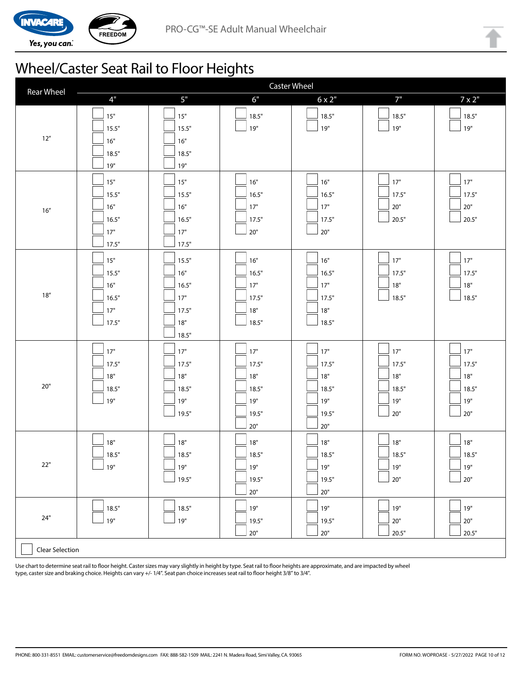

# Wheel/Caster Seat Rail to Floor Heights

| <b>Rear Wheel</b>      | <b>Caster Wheel</b>                            |                                                       |                                                           |                                                       |                                              |                                              |
|------------------------|------------------------------------------------|-------------------------------------------------------|-----------------------------------------------------------|-------------------------------------------------------|----------------------------------------------|----------------------------------------------|
|                        | 4"                                             | $5"$                                                  | 6"                                                        | $6 \times 2"$                                         | 7"                                           | $7 \times 2$ "                               |
| $12''$                 | $15"$<br>15.5"<br>16"<br>18.5"<br>19"          | $15"$<br>15.5"<br>16"<br>18.5"<br>19"                 | 18.5"<br>$19"$                                            | 18.5"<br>19"                                          | 18.5"<br>19"                                 | 18.5"<br>19"                                 |
| 16''                   | $15"$<br>15.5"<br>16"<br>16.5"<br>17"<br>17.5" | 15"<br>15.5"<br>16"<br>16.5"<br>17"<br>17.5"          | 16"<br>16.5"<br>17"<br>17.5"<br>$20"$                     | 16"<br>16.5"<br>17"<br>17.5"<br>$20"$                 | $17"$<br>17.5"<br>20"<br>$\frac{1}{20.5}$ "  | 17"<br>17.5"<br>$20"$<br>20.5"               |
| 18''                   | $15"$<br>15.5"<br>16"<br>16.5"<br>17"<br>17.5" | 15.5"<br>16"<br>16.5"<br>17"<br>17.5"<br>18"<br>18.5" | $16"$<br>16.5"<br>17"<br>17.5"<br>$18"$<br>18.5"          | 16"<br>16.5"<br>17"<br>17.5"<br>18"<br>18.5"          | $17"$<br>17.5"<br>$18"$<br>18.5"             | $17"$<br>17.5"<br>18"<br>18.5"               |
| 20"                    | 17"<br>17.5"<br>18"<br>18.5"<br>19"            | 17"<br>17.5"<br>18"<br>18.5"<br>19"<br>19.5"          | $17"$<br>17.5"<br>$18"$<br>18.5"<br>19"<br>19.5"<br>$20"$ | 17"<br>17.5"<br>18"<br>18.5"<br>19"<br>19.5"<br>$20"$ | $17"$<br>17.5"<br>18"<br>18.5"<br>19"<br>20" | $17"$<br>17.5"<br>18"<br>18.5"<br>19"<br>20" |
| 22"                    | $18"$<br>18.5"<br>ן 19"                        | $18"$<br>18.5"<br>$19"$<br>19.5"                      | $18"$<br>18.5"<br>$19"$<br>19.5"<br>$20"$                 | 18"<br>18.5"<br>$19"$<br>19.5"<br>$20"$               | $18"$<br>18.5"<br>ע19"<br>$20"$              | $18"$<br>18.5"<br>∫ 19"<br>$20"$             |
| $24"$                  | 18.5"<br>$19"$                                 | 18.5"<br>19"                                          | 19"<br>19.5"<br>$20"$                                     | 19"<br>19.5"<br>$20"$                                 | ∫ 19"<br>$20"$<br>20.5"                      | 19"<br>$20"$<br>20.5"                        |
| <b>Clear Selection</b> |                                                |                                                       |                                                           |                                                       |                                              |                                              |

Use chart to determine seat rail to floor height. Caster sizes may vary slightly in height by type. Seat rail to floor heights are approximate, and are impacted by wheel type, caster size and braking choice. Heights can vary +/- 1/4". Seat pan choice increases seat rail to floor height 3/8" to 3/4".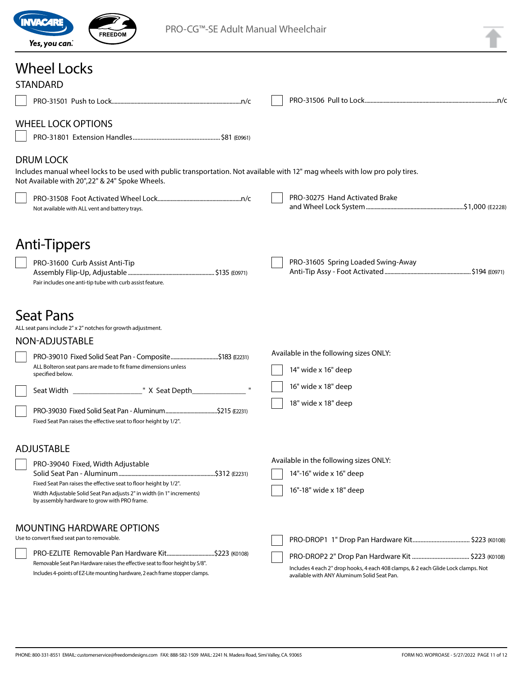

# Wheel Locks

| <b>STANDARD</b>                                                                                                                                                                                      |  |                                                                                                                                  |  |
|------------------------------------------------------------------------------------------------------------------------------------------------------------------------------------------------------|--|----------------------------------------------------------------------------------------------------------------------------------|--|
|                                                                                                                                                                                                      |  |                                                                                                                                  |  |
| <b>WHEEL LOCK OPTIONS</b>                                                                                                                                                                            |  |                                                                                                                                  |  |
| <b>DRUM LOCK</b><br>Includes manual wheel locks to be used with public transportation. Not available with 12" mag wheels with low pro poly tires.<br>Not Available with 20", 22" & 24" Spoke Wheels. |  |                                                                                                                                  |  |
| Not available with ALL vent and battery trays.                                                                                                                                                       |  | PRO-30275 Hand Activated Brake                                                                                                   |  |
| Anti-Tippers                                                                                                                                                                                         |  |                                                                                                                                  |  |
| PRO-31600 Curb Assist Anti-Tip<br>Pair includes one anti-tip tube with curb assist feature.                                                                                                          |  | PRO-31605 Spring Loaded Swing-Away                                                                                               |  |
| <b>Seat Pans</b><br>ALL seat pans include 2" x 2" notches for growth adjustment.<br>NON-ADJUSTABLE                                                                                                   |  |                                                                                                                                  |  |
| PRO-39010 Fixed Solid Seat Pan - Composite\$183 (E2231)                                                                                                                                              |  | Available in the following sizes ONLY:                                                                                           |  |
| ALL Bolteron seat pans are made to fit frame dimensions unless<br>specified below.                                                                                                                   |  | 14" wide x 16" deep                                                                                                              |  |
|                                                                                                                                                                                                      |  | 16" wide x 18" deep                                                                                                              |  |
| Fixed Seat Pan raises the effective seat to floor height by 1/2".                                                                                                                                    |  | 18" wide x 18" deep                                                                                                              |  |
| <b>ADJUSTABLE</b>                                                                                                                                                                                    |  |                                                                                                                                  |  |
| PRO-39040 Fixed, Width Adjustable                                                                                                                                                                    |  | Available in the following sizes ONLY:                                                                                           |  |
| Fixed Seat Pan raises the effective seat to floor height by 1/2".<br>Width Adjustable Solid Seat Pan adjusts 2" in width (in 1" increments)<br>by assembly hardware to grow with PRO frame.          |  | 14"-16" wide x 16" deep<br>16"-18" wide x 18" deep                                                                               |  |
| <b>MOUNTING HARDWARE OPTIONS</b><br>Use to convert fixed seat pan to removable.                                                                                                                      |  |                                                                                                                                  |  |
|                                                                                                                                                                                                      |  |                                                                                                                                  |  |
| Removable Seat Pan Hardware raises the effective seat to floor height by 5/8".<br>Includes 4-points of EZ-Lite mounting hardware, 2 each frame stopper clamps.                                       |  | Includes 4 each 2" drop hooks, 4 each 408 clamps, & 2 each Glide Lock clamps. Not<br>available with ANY Aluminum Solid Seat Pan. |  |